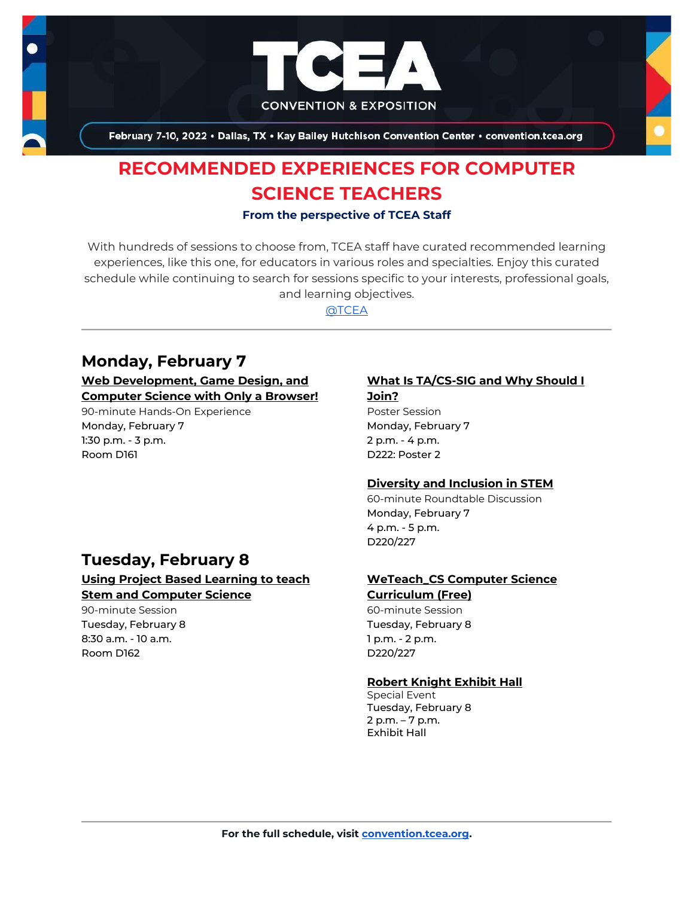

February 7-10, 2022 . Dallas, TX . Kay Bailey Hutchison Convention Center . convention.tcea.org

# **RECOMMENDED EXPERIENCES FOR COMPUTER SCIENCE TEACHERS**

#### **From the perspective of TCEA Staff**

With hundreds of sessions to choose from, TCEA staff have curated recommended learning experiences, like this one, for educators in various roles and specialties. Enjoy this curated schedule while continuing to search for sessions specific to your interests, professional goals, and learning objectives.

[@TCEA](https://twitter.com/TCEA)

# **Monday, February 7**

## **[Web Development, Game Design, and](https://register.tcea.org/2022/session_list.cfm?session_key=0245CD8A-F04D-A206-2B64-FED9E0F164AC&session_date=Monday,%20Feb%2007,%202022)  [Computer Science with Only a Browser!](https://register.tcea.org/2022/session_list.cfm?session_key=0245CD8A-F04D-A206-2B64-FED9E0F164AC&session_date=Monday,%20Feb%2007,%202022)**

90-minute Hands-On Experience Monday, February 7 1:30 p.m. - 3 p.m. Room D161

#### **[What Is TA/CS-SIG and Why Should I](https://register.tcea.org/2022/session_list.cfm?session_key=0245FFEC-F04D-A206-2B64-C10BD30C5DA0&session_date=Monday,%20Feb%2007,%202022)  [Join?](https://register.tcea.org/2022/session_list.cfm?session_key=0245FFEC-F04D-A206-2B64-C10BD30C5DA0&session_date=Monday,%20Feb%2007,%202022)**

Poster Session Monday, February 7 2 p.m. - 4 p.m. D222: Poster 2

# **[Diversity and Inclusion in STEM](https://register.tcea.org/2022/session_list.cfm?session_key=02368551-F04D-A206-2B64-82AD02836318&session_date=Monday,%20Feb%2007,%202022)**

60-minute Roundtable Discussion Monday, February 7 4 p.m. - 5 p.m. D220/227

# **Tuesday, February 8 [Using Project Based Learning to teach](https://register.tcea.org/2022/session_list.cfm?session_key=90EB4517-F04D-A206-2B64-2AC0CB357581&session_date=Tuesday,%20Feb%2008,%202022)**

**[Stem and Computer Science](https://register.tcea.org/2022/session_list.cfm?session_key=90EB4517-F04D-A206-2B64-2AC0CB357581&session_date=Tuesday,%20Feb%2008,%202022)**

90-minute Session Tuesday, February 8 8:30 a.m. - 10 a.m. Room D162

#### **[WeTeach\\_CS Computer Science](https://register.tcea.org/2022/session_list.cfm?session_key=0245DB53-F04D-A206-2B64-0AD15D3AB9C9&session_date=Tuesday,%20Feb%2008,%202022)  [Curriculum \(Free\)](https://register.tcea.org/2022/session_list.cfm?session_key=0245DB53-F04D-A206-2B64-0AD15D3AB9C9&session_date=Tuesday,%20Feb%2008,%202022)**

60-minute Session Tuesday, February 8 1 p.m. - 2 p.m. D220/227

## **[Robert Knight Exhibit Hall](https://register.tcea.org/2022/session_list.cfm?session_key=61CDF249-F04D-A206-2B64-15D6559D2515&session_date=Tuesday,%20Feb%2008,%202022)**

Special Event Tuesday, February 8 2 p.m. – 7 p.m. Exhibit Hall